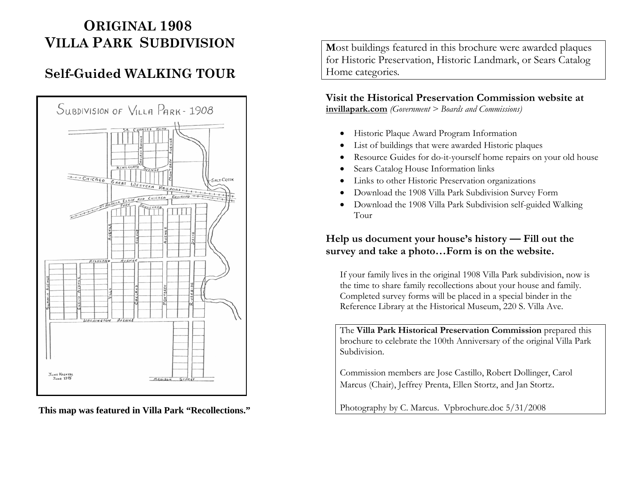# **ORIGINAL 1908VILLA PARK SUBDIVISION**

# **Self-Guided WALKING TOUR**



**This map was featured in Villa Park "Recollections."**

**M**ost buildings featured in this brochure were awarded plaques for Historic Preservation, Historic Landmark, or Sears Catalog Home categories.

# **Visit the Historical Preservation Commission website at**

**invillapark.com** *(Government > Boards and Commissions)*

- Historic Plaque Award Program Information
- •List of buildings that were awarded Historic plaques
- •Resource Guides for do-it-yourself home repairs on your old house
- •Sears Catalog House Information links
- •Links to other Historic Preservation organizations
- Download the 1908 Villa Park Subdivision Survey Form
- $\bullet$  Download the 1908 Villa Park Subdivision self-guided Walking Tour

# **Help us document your house's history — Fill out the survey and take a photo…Form is on the website.**

If your family lives in the original 1908 Villa Park subdivision, now is the time to share family recollections about your house and family. Completed survey forms will be placed in a special binder in the Reference Library at the Historical Museum, 220 S. Villa Ave.

The **Villa Park Historical Preservation Commission** prepared this brochure to celebrate the 100th Anniversary of the original Villa Park Subdivision.

Commission members are Jose Castillo, Robert Dollinger, Carol Marcus (Chair), Jeffrey Prenta, Ellen Stortz, and Jan Stortz.

Photography by C. Marcus. Vpbrochure.doc 5/31/2008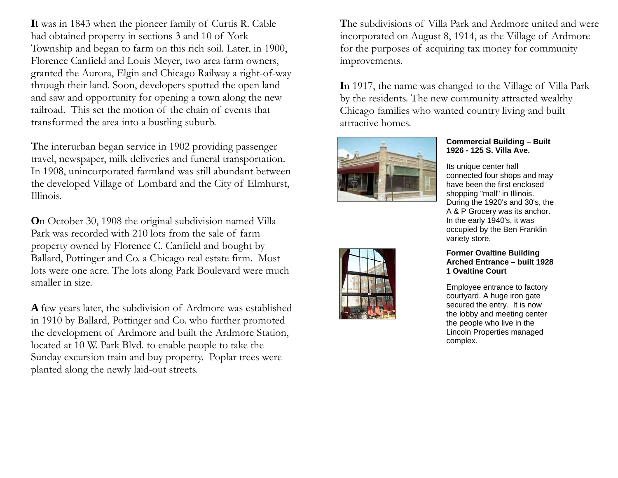**I**t was in 1843 when the pioneer family of Curtis R. Cable had obtained property in sections 3 and 10 of York Township and began to farm on this rich soil. Later, in 1900, Florence Canfield and Louis Meyer, two area farm owners, granted the Aurora, Elgin and Chicago Railway a right-of-way through their land. Soon, developers spotted the open land and saw and opportunity for opening a town along the new railroad. This set the motion of the chain of events that transformed the area into a bustling suburb.

**T**he interurban began service in 1902 providing passenger travel, newspaper, milk deliveries and funeral transportation. In 1908, unincorporated farmland was still abundant between the developed Village of Lombard and the City of Elmhurst, Illinois.

**O**n October 30, 1908 the original subdivision named Villa Park was recorded with 210 lots from the sale of farm property owned by Florence C. Canfield and bought by Ballard, Pottinger and Co. a Chicago real estate firm. Most lots were one acre. The lots along Park Boulevard were much smaller in size.

**A** few years later, the subdivision of Ardmore was established in 1910 by Ballard, Pottinger and Co. who further promoted the development of Ardmore and built the Ardmore Station, located at 10 W. Park Blvd. to enable people to take the Sunday excursion train and buy property. Poplar trees were planted along the newly laid-out streets.

**T**he subdivisions of Villa Park and Ardmore united and were incorporated on August 8, 1914, as the Village of Ardmore for the purposes of acquiring tax money for community improvements.

**I**n 1917, the name was changed to the Village of Villa Park by the residents. The new community attracted wealthy Chicago families who wanted country living and built attractive homes.



# **Commercial Building – Built 1926 - 125 S. Villa Ave.**

Its unique center hall connected four shops and may have been the first enclosed shopping "mall" in Illinois. During the 1920's and 30's, the A & P Grocery was its anchor. In the early 1940's, it was occupied by the Ben Franklin variety store.

#### **Former Ovaltine Building Arched Entrance – built 1928 1 Ovaltine Court**

Employee entrance to factory courtyard. A huge iron gate secured the entry. It is now the lobby and meeting center the people who live in the Lincoln Properties managed complex.

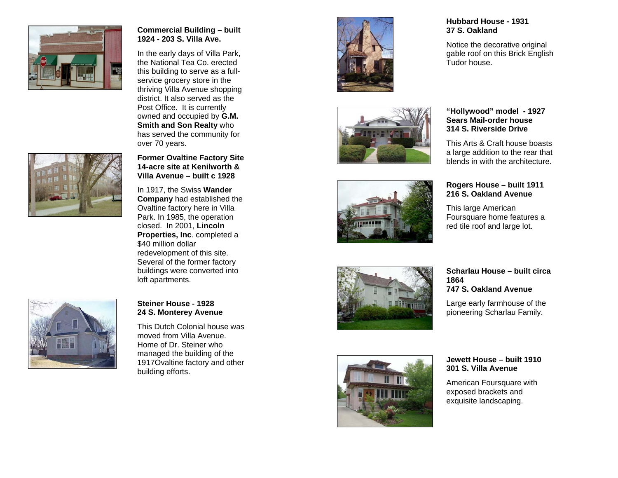

# **Commercial Building – built 1924 - 203 S. Villa Ave.**

In the early days of Villa Park, the National Tea Co. erected this building to serve as a fullservice grocery store in the thriving Villa Avenue shopping district. It also served as the Post Office. It is currently owned and occupied by **G.M. Smith and Son Realty** who has served the community for over 70 years.



**Former Ovaltine Factory Site 14-acre site at Kenilworth & Villa Avenue – built c 1928** 

In 1917, the Swiss **Wander Company** had established the Ovaltine factory here in Villa Park. In 1985, the operation closed. In 2001, **Lincoln Properties, Inc**. completed a \$40 million dollar redevelopment of this site. Several of the former factory buildings were converted into loft apartments.



#### **Steiner House - 1928 24 S. Monterey Avenue**

This Dutch Colonial house was moved from Villa Avenue. Home of Dr. Steiner who managed the building of the 1917Ovaltine factory and other building efforts.











Notice the decorative original gable roof on this Brick English Tudor house.

#### **"Hollywood" model - 1927 Sears Mail-order house 314 S. Riverside Drive**

This Arts & Craft house boasts a large addition to the rear that blends in with the architecture.

### **Rogers House – built 1911 216 S. Oakland Avenue**

This large American Foursquare home features a red tile roof and large lot.

#### **Scharlau House – built circa 1864 747 S. Oakland Avenue**

Large early farmhouse of the pioneering Scharlau Family.



**Jewett House – built 1910 301 S. Villa Avenue** 

American Foursquare with exposed brackets and exquisite landscaping.